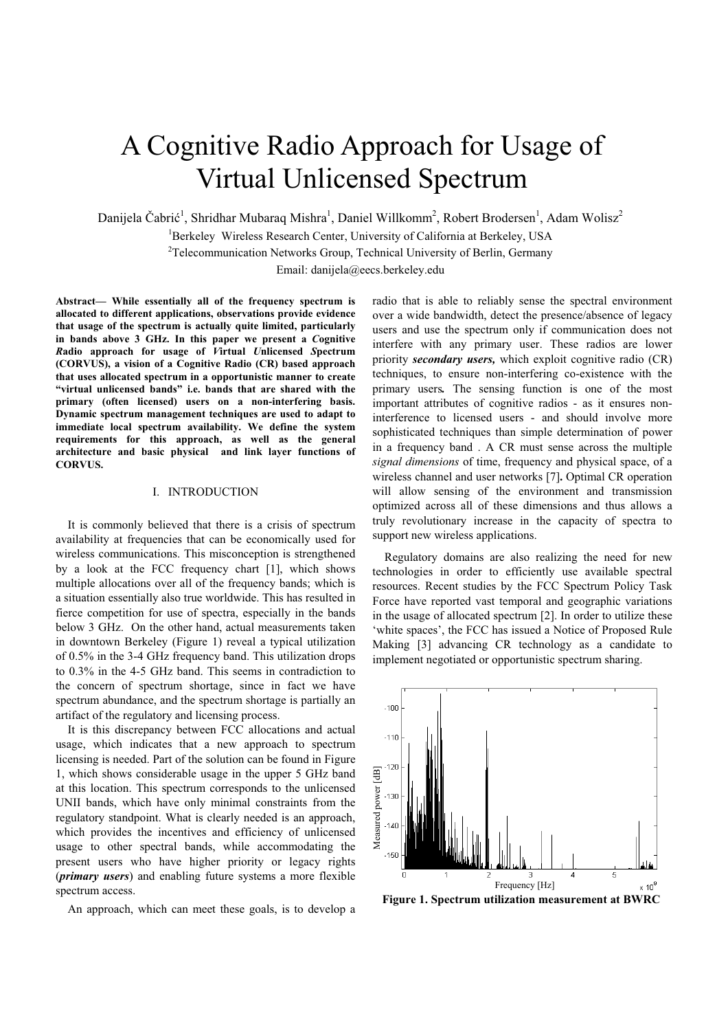# A Cognitive Radio Approach for Usage of Virtual Unlicensed Spectrum

Danijela Čabrić<sup>1</sup>, Shridhar Mubaraq Mishra<sup>1</sup>, Daniel Willkomm<sup>2</sup>, Robert Brodersen<sup>1</sup>, Adam Wolisz<sup>2</sup>

<sup>1</sup>Berkeley Wireless Research Center, University of California at Berkeley, USA

<sup>2</sup>Telecommunication Networks Group, Technical University of Berlin, Germany

Email: danijela@eecs.berkeley.edu

**Abstract— While essentially all of the frequency spectrum is allocated to different applications, observations provide evidence that usage of the spectrum is actually quite limited, particularly in bands above 3 GHz. In this paper we present a** *C***ognitive** *R***adio approach for usage of** *V***irtual** *U***nlicensed** *S***pectrum (CORVUS), a vision of a Cognitive Radio (CR) based approach that uses allocated spectrum in a opportunistic manner to create "virtual unlicensed bands" i.e. bands that are shared with the primary (often licensed) users on a non-interfering basis. Dynamic spectrum management techniques are used to adapt to immediate local spectrum availability. We define the system requirements for this approach, as well as the general architecture and basic physical and link layer functions of CORVUS.**

# I. INTRODUCTION

It is commonly believed that there is a crisis of spectrum availability at frequencies that can be economically used for wireless communications. This misconception is strengthened by a look at the FCC frequency chart [1], which shows multiple allocations over all of the frequency bands; which is a situation essentially also true worldwide. This has resulted in fierce competition for use of spectra, especially in the bands below 3 GHz. On the other hand, actual measurements taken in downtown Berkeley (Figure 1) reveal a typical utilization of 0.5% in the 3-4 GHz frequency band. This utilization drops to 0.3% in the 4-5 GHz band. This seems in contradiction to the concern of spectrum shortage, since in fact we have spectrum abundance, and the spectrum shortage is partially an artifact of the regulatory and licensing process.

It is this discrepancy between FCC allocations and actual usage, which indicates that a new approach to spectrum licensing is needed. Part of the solution can be found in Figure 1, which shows considerable usage in the upper 5 GHz band at this location. This spectrum corresponds to the unlicensed UNII bands, which have only minimal constraints from the regulatory standpoint. What is clearly needed is an approach, which provides the incentives and efficiency of unlicensed usage to other spectral bands, while accommodating the present users who have higher priority or legacy rights (*primary users*) and enabling future systems a more flexible spectrum access.

An approach, which can meet these goals, is to develop a

radio that is able to reliably sense the spectral environment over a wide bandwidth, detect the presence/absence of legacy users and use the spectrum only if communication does not interfere with any primary user. These radios are lower priority *secondary users,* which exploit cognitive radio (CR) techniques, to ensure non-interfering co-existence with the primary users*.* The sensing function is one of the most important attributes of cognitive radios - as it ensures noninterference to licensed users - and should involve more sophisticated techniques than simple determination of power in a frequency band . A CR must sense across the multiple *signal dimensions* of time, frequency and physical space, of a wireless channel and user networks [7]**.** Optimal CR operation will allow sensing of the environment and transmission optimized across all of these dimensions and thus allows a truly revolutionary increase in the capacity of spectra to support new wireless applications.

Regulatory domains are also realizing the need for new technologies in order to efficiently use available spectral resources. Recent studies by the FCC Spectrum Policy Task Force have reported vast temporal and geographic variations in the usage of allocated spectrum [2]. In order to utilize these 'white spaces', the FCC has issued a Notice of Proposed Rule Making [3] advancing CR technology as a candidate to implement negotiated or opportunistic spectrum sharing.



**Figure 1. Spectrum utilization measurement at BWRC**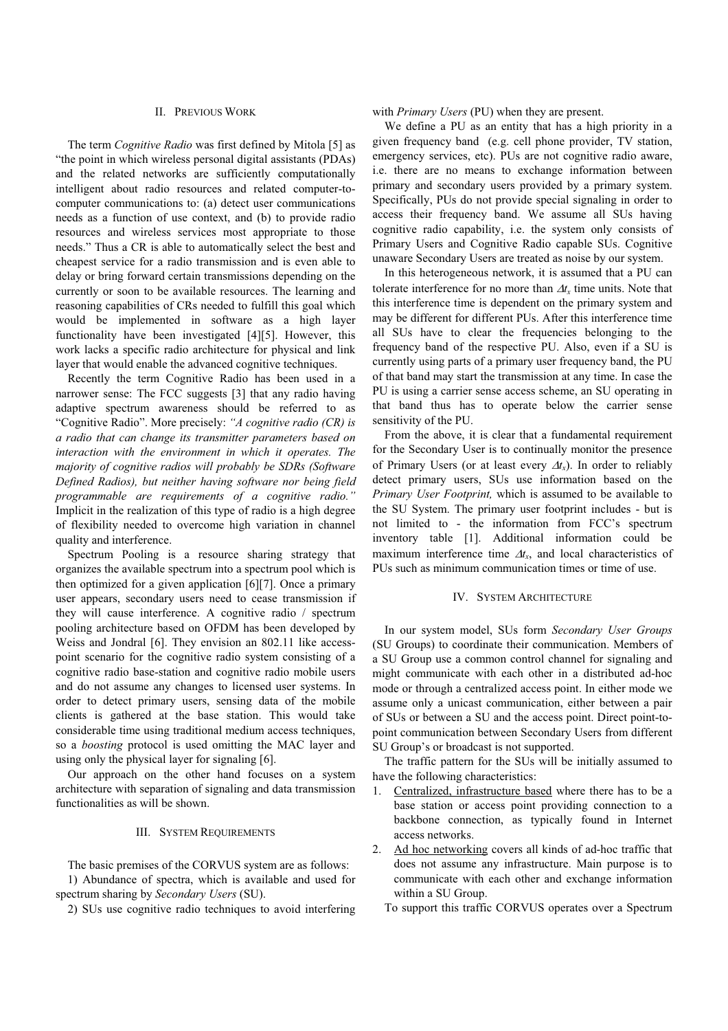## II. PREVIOUS WORK

The term *Cognitive Radio* was first defined by Mitola [5] as "the point in which wireless personal digital assistants (PDAs) and the related networks are sufficiently computationally intelligent about radio resources and related computer-tocomputer communications to: (a) detect user communications needs as a function of use context, and (b) to provide radio resources and wireless services most appropriate to those needs." Thus a CR is able to automatically select the best and cheapest service for a radio transmission and is even able to delay or bring forward certain transmissions depending on the currently or soon to be available resources. The learning and reasoning capabilities of CRs needed to fulfill this goal which would be implemented in software as a high layer functionality have been investigated [4][5]. However, this work lacks a specific radio architecture for physical and link layer that would enable the advanced cognitive techniques.

Recently the term Cognitive Radio has been used in a narrower sense: The FCC suggests [3] that any radio having adaptive spectrum awareness should be referred to as "Cognitive Radio". More precisely: *"A cognitive radio (CR) is a radio that can change its transmitter parameters based on interaction with the environment in which it operates. The majority of cognitive radios will probably be SDRs (Software Defined Radios), but neither having software nor being field programmable are requirements of a cognitive radio."*  Implicit in the realization of this type of radio is a high degree of flexibility needed to overcome high variation in channel quality and interference.

Spectrum Pooling is a resource sharing strategy that organizes the available spectrum into a spectrum pool which is then optimized for a given application [6][7]. Once a primary user appears, secondary users need to cease transmission if they will cause interference. A cognitive radio / spectrum pooling architecture based on OFDM has been developed by Weiss and Jondral [6]. They envision an 802.11 like accesspoint scenario for the cognitive radio system consisting of a cognitive radio base-station and cognitive radio mobile users and do not assume any changes to licensed user systems. In order to detect primary users, sensing data of the mobile clients is gathered at the base station. This would take considerable time using traditional medium access techniques, so a *boosting* protocol is used omitting the MAC layer and using only the physical layer for signaling [6].

Our approach on the other hand focuses on a system architecture with separation of signaling and data transmission functionalities as will be shown.

# III. SYSTEM REQUIREMENTS

The basic premises of the CORVUS system are as follows: 1) Abundance of spectra, which is available and used for spectrum sharing by *Secondary Users* (SU).

2) SUs use cognitive radio techniques to avoid interfering

with *Primary Users* (PU) when they are present.

We define a PU as an entity that has a high priority in a given frequency band (e.g. cell phone provider, TV station, emergency services, etc). PUs are not cognitive radio aware, i.e. there are no means to exchange information between primary and secondary users provided by a primary system. Specifically, PUs do not provide special signaling in order to access their frequency band. We assume all SUs having cognitive radio capability, i.e. the system only consists of Primary Users and Cognitive Radio capable SUs. Cognitive unaware Secondary Users are treated as noise by our system.

In this heterogeneous network, it is assumed that a PU can tolerate interference for no more than  $\Delta t$ <sub>r</sub> time units. Note that this interference time is dependent on the primary system and may be different for different PUs. After this interference time all SUs have to clear the frequencies belonging to the frequency band of the respective PU. Also, even if a SU is currently using parts of a primary user frequency band, the PU of that band may start the transmission at any time. In case the PU is using a carrier sense access scheme, an SU operating in that band thus has to operate below the carrier sense sensitivity of the PU.

From the above, it is clear that a fundamental requirement for the Secondary User is to continually monitor the presence of Primary Users (or at least every  $\Delta t_x$ ). In order to reliably detect primary users, SUs use information based on the *Primary User Footprint,* which is assumed to be available to the SU System. The primary user footprint includes - but is not limited to - the information from FCC's spectrum inventory table [1]. Additional information could be maximum interference time  $\Delta t_x$ , and local characteristics of PUs such as minimum communication times or time of use.

## IV. SYSTEM ARCHITECTURE

In our system model, SUs form *Secondary User Groups* (SU Groups) to coordinate their communication. Members of a SU Group use a common control channel for signaling and might communicate with each other in a distributed ad-hoc mode or through a centralized access point. In either mode we assume only a unicast communication, either between a pair of SUs or between a SU and the access point. Direct point-topoint communication between Secondary Users from different SU Group's or broadcast is not supported.

The traffic pattern for the SUs will be initially assumed to have the following characteristics:

- 1. Centralized, infrastructure based where there has to be a base station or access point providing connection to a backbone connection, as typically found in Internet access networks.
- 2. Ad hoc networking covers all kinds of ad-hoc traffic that does not assume any infrastructure. Main purpose is to communicate with each other and exchange information within a SU Group.
	- To support this traffic CORVUS operates over a Spectrum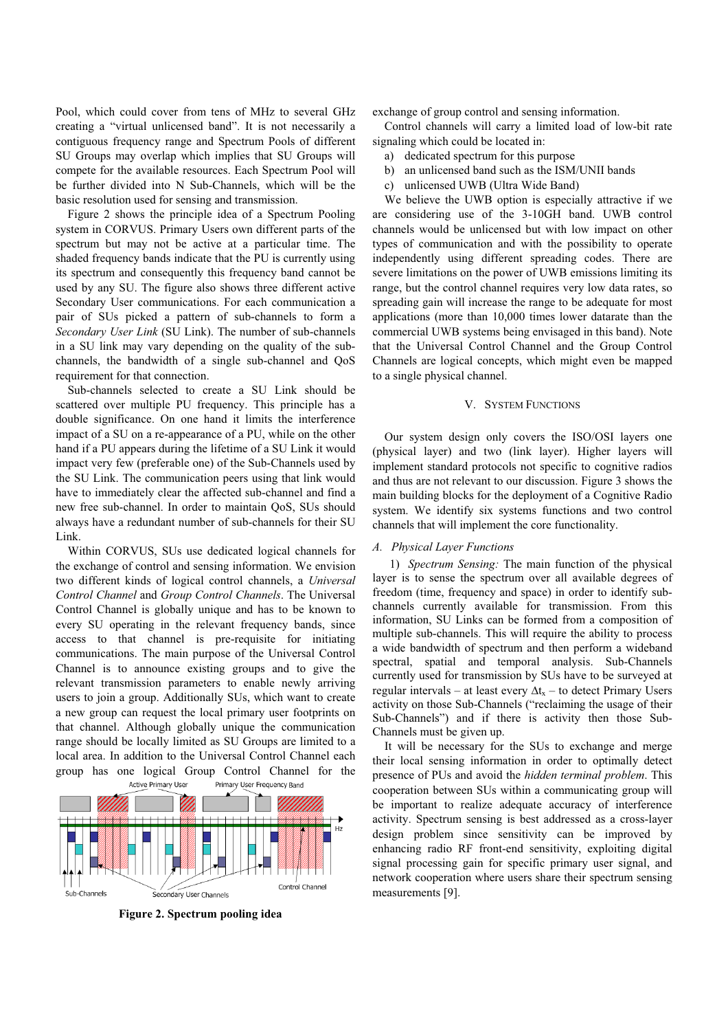Pool, which could cover from tens of MHz to several GHz creating a "virtual unlicensed band". It is not necessarily a contiguous frequency range and Spectrum Pools of different SU Groups may overlap which implies that SU Groups will compete for the available resources. Each Spectrum Pool will be further divided into N Sub-Channels, which will be the basic resolution used for sensing and transmission.

Figure 2 shows the principle idea of a Spectrum Pooling system in CORVUS. Primary Users own different parts of the spectrum but may not be active at a particular time. The shaded frequency bands indicate that the PU is currently using its spectrum and consequently this frequency band cannot be used by any SU. The figure also shows three different active Secondary User communications. For each communication a pair of SUs picked a pattern of sub-channels to form a *Secondary User Link* (SU Link). The number of sub-channels in a SU link may vary depending on the quality of the subchannels, the bandwidth of a single sub-channel and QoS requirement for that connection.

Sub-channels selected to create a SU Link should be scattered over multiple PU frequency. This principle has a double significance. On one hand it limits the interference impact of a SU on a re-appearance of a PU, while on the other hand if a PU appears during the lifetime of a SU Link it would impact very few (preferable one) of the Sub-Channels used by the SU Link. The communication peers using that link would have to immediately clear the affected sub-channel and find a new free sub-channel. In order to maintain QoS, SUs should always have a redundant number of sub-channels for their SU Link.

Within CORVUS, SUs use dedicated logical channels for the exchange of control and sensing information. We envision two different kinds of logical control channels, a *Universal Control Channel* and *Group Control Channels*. The Universal Control Channel is globally unique and has to be known to every SU operating in the relevant frequency bands, since access to that channel is pre-requisite for initiating communications. The main purpose of the Universal Control Channel is to announce existing groups and to give the relevant transmission parameters to enable newly arriving users to join a group. Additionally SUs, which want to create a new group can request the local primary user footprints on that channel. Although globally unique the communication range should be locally limited as SU Groups are limited to a local area. In addition to the Universal Control Channel each group has one logical Group Control Channel for the Active Primary User Frequency Band



**Figure 2. Spectrum pooling idea** 

exchange of group control and sensing information.

Control channels will carry a limited load of low-bit rate signaling which could be located in:

- a) dedicated spectrum for this purpose
- b) an unlicensed band such as the ISM/UNII bands
- c) unlicensed UWB (Ultra Wide Band)

We believe the UWB option is especially attractive if we are considering use of the 3-10GH band. UWB control channels would be unlicensed but with low impact on other types of communication and with the possibility to operate independently using different spreading codes. There are severe limitations on the power of UWB emissions limiting its range, but the control channel requires very low data rates, so spreading gain will increase the range to be adequate for most applications (more than 10,000 times lower datarate than the commercial UWB systems being envisaged in this band). Note that the Universal Control Channel and the Group Control Channels are logical concepts, which might even be mapped to a single physical channel.

#### V. SYSTEM FUNCTIONS

Our system design only covers the ISO/OSI layers one (physical layer) and two (link layer). Higher layers will implement standard protocols not specific to cognitive radios and thus are not relevant to our discussion. Figure 3 shows the main building blocks for the deployment of a Cognitive Radio system. We identify six systems functions and two control channels that will implement the core functionality.

## *A. Physical Layer Functions*

1) *Spectrum Sensing:* The main function of the physical layer is to sense the spectrum over all available degrees of freedom (time, frequency and space) in order to identify subchannels currently available for transmission. From this information, SU Links can be formed from a composition of multiple sub-channels. This will require the ability to process a wide bandwidth of spectrum and then perform a wideband spectral, spatial and temporal analysis. Sub-Channels currently used for transmission by SUs have to be surveyed at regular intervals – at least every  $\Delta t_x$  – to detect Primary Users activity on those Sub-Channels ("reclaiming the usage of their Sub-Channels") and if there is activity then those Sub-Channels must be given up.

It will be necessary for the SUs to exchange and merge their local sensing information in order to optimally detect presence of PUs and avoid the *hidden terminal problem*. This cooperation between SUs within a communicating group will be important to realize adequate accuracy of interference activity. Spectrum sensing is best addressed as a cross-layer design problem since sensitivity can be improved by enhancing radio RF front-end sensitivity, exploiting digital signal processing gain for specific primary user signal, and network cooperation where users share their spectrum sensing measurements [9].